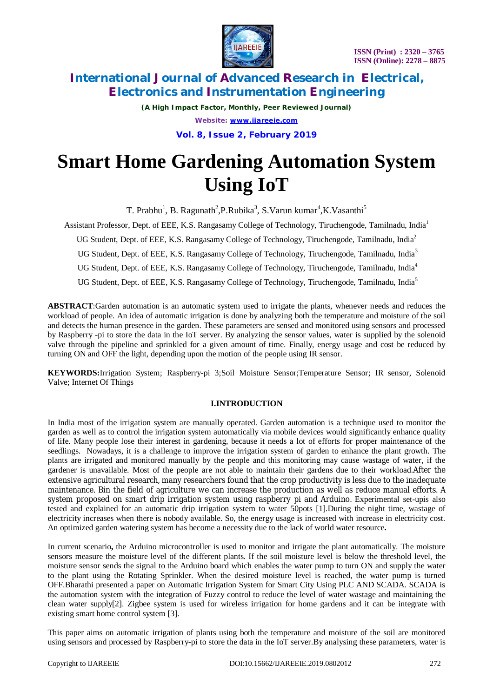

*(A High Impact Factor, Monthly, Peer Reviewed Journal) Website: [www.ijareeie.com](http://www.ijareeie.com)* **Vol. 8, Issue 2, February 2019**

# **Smart Home Gardening Automation System Using IoT**

T. Prabhu<sup>1</sup>, B. Ragunath<sup>2</sup>,P.Rubika<sup>3</sup>, S.Varun kumar<sup>4</sup>,K.Vasanthi<sup>5</sup>

Assistant Professor, Dept. of EEE, K.S. Rangasamy College of Technology, Tiruchengode, Tamilnadu, India<sup>1</sup>

UG Student, Dept. of EEE, K.S. Rangasamy College of Technology, Tiruchengode, Tamilnadu, India<sup>2</sup>

UG Student, Dept. of EEE, K.S. Rangasamy College of Technology, Tiruchengode, Tamilnadu, India<sup>3</sup>

UG Student, Dept. of EEE, K.S. Rangasamy College of Technology, Tiruchengode, Tamilnadu, India<sup>4</sup>

UG Student, Dept. of EEE, K.S. Rangasamy College of Technology, Tiruchengode, Tamilnadu, India<sup>5</sup>

**ABSTRACT**:Garden automation is an automatic system used to irrigate the plants, whenever needs and reduces the workload of people. An idea of automatic irrigation is done by analyzing both the temperature and moisture of the soil and detects the human presence in the garden. These parameters are sensed and monitored using sensors and processed by Raspberry -pi to store the data in the IoT server. By analyzing the sensor values, water is supplied by the solenoid valve through the pipeline and sprinkled for a given amount of time. Finally, energy usage and cost be reduced by turning ON and OFF the light, depending upon the motion of the people using IR sensor.

**KEYWORDS:**Irrigation System; Raspberry-pi 3;Soil Moisture Sensor;Temperature Sensor; IR sensor, Solenoid Valve; Internet Of Things

### **I.INTRODUCTION**

In India most of the irrigation system are manually operated. Garden automation is a technique used to monitor the garden as well as to control the irrigation system automatically via mobile devices would significantly enhance quality of life. Many people lose their interest in gardening, because it needs a lot of efforts for proper maintenance of the seedlings. Nowadays, it is a challenge to improve the irrigation system of garden to enhance the plant growth. The plants are irrigated and monitored manually by the people and this monitoring may cause wastage of water, if the gardener is unavailable. Most of the people are not able to maintain their gardens due to their workload.After the extensive agricultural research, many researchers found that the crop productivity is less due to the inadequate maintenance. Bin the field of agriculture we can increase the production as well as reduce manual efforts. A system proposed on smart drip irrigation system using raspberry pi and Arduino. Experimental set-upis also tested and explained for an automatic drip irrigation system to water 50pots [1].During the night time, wastage of electricity increases when there is nobody available. So, the energy usage is increased with increase in electricity cost. An optimized garden watering system has become a necessity due to the lack of world water resource**.**

In current scenario**,** the Arduino microcontroller is used to monitor and irrigate the plant automatically. The moisture sensors measure the moisture level of the different plants. If the soil moisture level is below the threshold level, the moisture sensor sends the signal to the Arduino board which enables the water pump to turn ON and supply the water to the plant using the Rotating Sprinkler. When the desired moisture level is reached, the water pump is turned OFF.Bharathi presented a paper on Automatic Irrigation System for Smart City Using PLC AND SCADA. SCADA is the automation system with the integration of Fuzzy control to reduce the level of water wastage and maintaining the clean water supply[2]. Zigbee system is used for wireless irrigation for home gardens and it can be integrate with existing smart home control system [3].

This paper aims on automatic irrigation of plants using both the temperature and moisture of the soil are monitored using sensors and processed by Raspberry-pi to store the data in the IoT server.By analysing these parameters, water is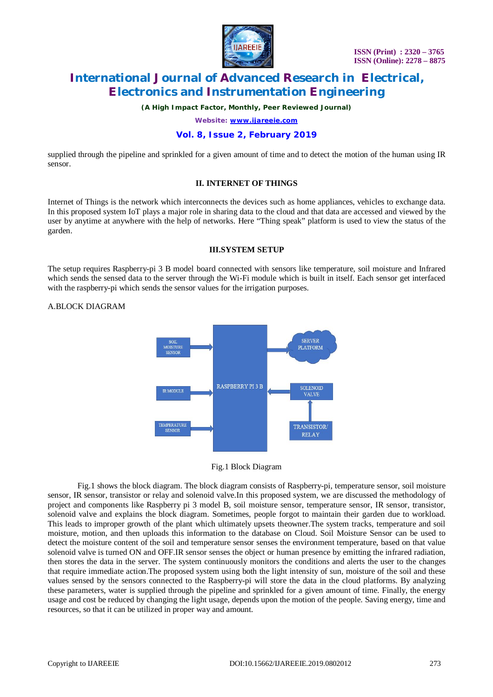

*(A High Impact Factor, Monthly, Peer Reviewed Journal)*

*Website: [www.ijareeie.com](http://www.ijareeie.com)*

### **Vol. 8, Issue 2, February 2019**

supplied through the pipeline and sprinkled for a given amount of time and to detect the motion of the human using IR sensor.

#### **II. INTERNET OF THINGS**

Internet of Things is the network which interconnects the devices such as home appliances, vehicles to exchange data. In this proposed system IoT plays a major role in sharing data to the cloud and that data are accessed and viewed by the user by anytime at anywhere with the help of networks. Here "Thing speak" platform is used to view the status of the garden.

### **III.SYSTEM SETUP**

The setup requires Raspberry-pi 3 B model board connected with sensors like temperature, soil moisture and Infrared which sends the sensed data to the server through the Wi-Fi module which is built in itself. Each sensor get interfaced with the raspberry-pi which sends the sensor values for the irrigation purposes.

### A.BLOCK DIAGRAM



Fig.1 Block Diagram

Fig.1 shows the block diagram. The block diagram consists of Raspberry-pi, temperature sensor, soil moisture sensor, IR sensor, transistor or relay and solenoid valve.In this proposed system, we are discussed the methodology of project and components like Raspberry pi 3 model B, soil moisture sensor, temperature sensor, IR sensor, transistor, solenoid valve and explains the block diagram. Sometimes, people forgot to maintain their garden due to workload. This leads to improper growth of the plant which ultimately upsets theowner.The system tracks, temperature and soil moisture, motion, and then uploads this information to the database on Cloud. Soil Moisture Sensor can be used to detect the moisture content of the soil and temperature sensor senses the environment temperature, based on that value solenoid valve is turned ON and OFF.IR sensor senses the object or human presence by emitting the infrared radiation, then stores the data in the server. The system continuously monitors the conditions and alerts the user to the changes that require immediate action.The proposed system using both the light intensity of sun, moisture of the soil and these values sensed by the sensors connected to the Raspberry-pi will store the data in the cloud platforms. By analyzing these parameters, water is supplied through the pipeline and sprinkled for a given amount of time. Finally, the energy usage and cost be reduced by changing the light usage, depends upon the motion of the people. Saving energy, time and resources, so that it can be utilized in proper way and amount.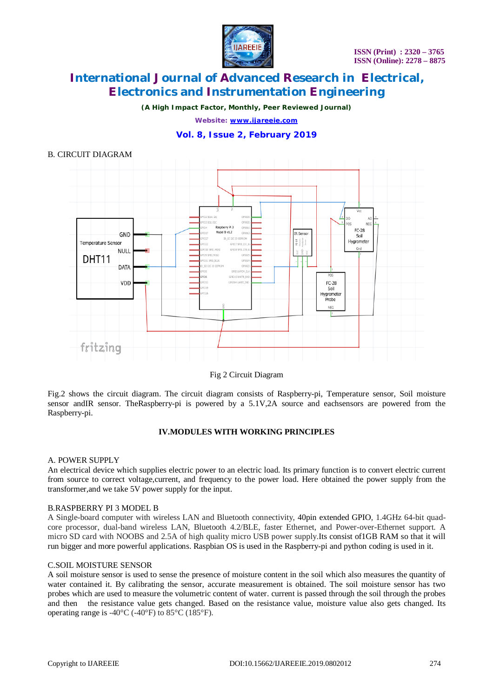*(A High Impact Factor, Monthly, Peer Reviewed Journal)*

*Website: [www.ijareeie.com](http://www.ijareeie.com)*

### **Vol. 8, Issue 2, February 2019**



Fig 2 Circuit Diagram

Fig.2 shows the circuit diagram. The circuit diagram consists of Raspberry-pi, Temperature sensor, Soil moisture sensor andIR sensor. TheRaspberry-pi is powered by a 5.1V,2A source and eachsensors are powered from the Raspberry-pi.

### **IV.MODULES WITH WORKING PRINCIPLES**

#### A. POWER SUPPLY

An electrical device which supplies electric power to an electric load. Its primary function is to convert electric current from source to correct voltage,current, and frequency to the power load. Here obtained the power supply from the transformer,and we take 5V power supply for the input.

### B.RASPBERRY PI 3 MODEL B

A Single-board computer with wireless LAN and Bluetooth connectivity, 40pin extended GPIO, 1.4GHz 64-bit quadcore processor, dual-band wireless LAN, Bluetooth 4.2/BLE, faster Ethernet, and Power-over-Ethernet support. A micro SD card with NOOBS and 2.5A of high quality micro USB power supply.Its consist of1GB RAM so that it will run bigger and more powerful applications. Raspbian OS is used in the Raspberry-pi and python coding is used in it.

### C.SOIL MOISTURE SENSOR

A soil moisture sensor is used to sense the presence of moisture content in the soil which also measures the quantity of water contained it. By calibrating the sensor, accurate measurement is obtained. The soil moisture sensor has two probes which are used to measure the volumetric content of water. current is passed through the soil through the probes and then the resistance value gets changed. Based on the resistance value, moisture value also gets changed. Its operating range is  $-40^{\circ}$ C ( $-40^{\circ}$ F) to 85 $^{\circ}$ C (185 $^{\circ}$ F).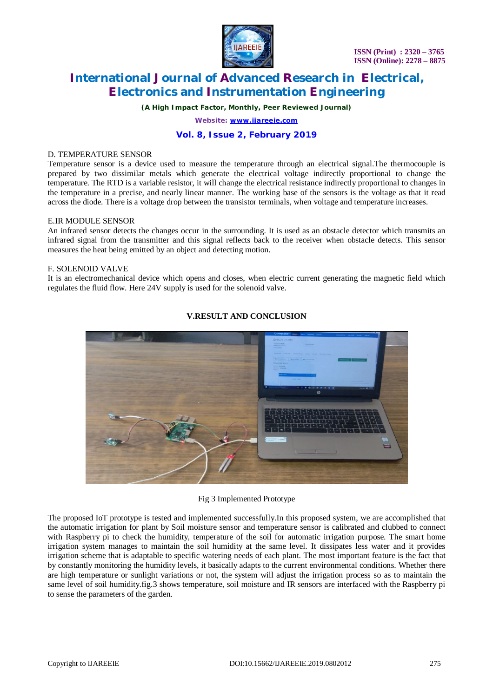

*(A High Impact Factor, Monthly, Peer Reviewed Journal)*

*Website: [www.ijareeie.com](http://www.ijareeie.com)*

## **Vol. 8, Issue 2, February 2019**

#### D. TEMPERATURE SENSOR

Temperature sensor is a device used to measure the temperature through an electrical signal.The thermocouple is prepared by two dissimilar metals which generate the electrical voltage indirectly proportional to change the temperature. The RTD is a variable resistor, it will change the electrical resistance indirectly proportional to changes in the temperature in a precise, and nearly linear manner. The working base of the sensors is the voltage as that it read across the diode. There is a voltage drop between the transistor terminals, when voltage and temperature increases.

### E.IR MODULE SENSOR

An infrared sensor detects the changes occur in the surrounding. It is used as an obstacle detector which transmits an infrared signal from the transmitter and this signal reflects back to the receiver when obstacle detects. This sensor measures the heat being emitted by an object and detecting motion.

### F. SOLENOID VALVE

It is an electromechanical device which opens and closes, when electric current generating the magnetic field which regulates the fluid flow. Here 24V supply is used for the solenoid valve.



### **V.RESULT AND CONCLUSION**

#### Fig 3 Implemented Prototype

The proposed IoT prototype is tested and implemented successfully.In this proposed system, we are accomplished that the automatic irrigation for plant by Soil moisture sensor and temperature sensor is calibrated and clubbed to connect with Raspberry pi to check the humidity, temperature of the soil for automatic irrigation purpose. The smart home irrigation system manages to maintain the soil humidity at the same level. It dissipates less water and it provides irrigation scheme that is adaptable to specific watering needs of each plant. The most important feature is the fact that by constantly monitoring the humidity levels, it basically adapts to the current environmental conditions. Whether there are high temperature or sunlight variations or not, the system will adjust the irrigation process so as to maintain the same level of soil humidity.fig.3 shows temperature, soil moisture and IR sensors are interfaced with the Raspberry pi to sense the parameters of the garden.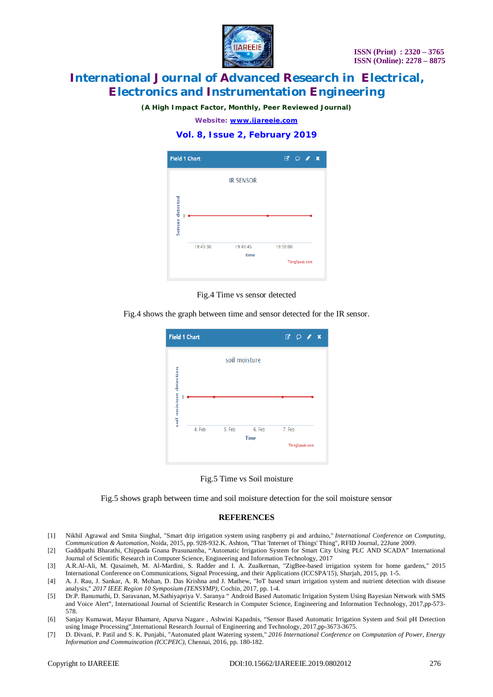

*(A High Impact Factor, Monthly, Peer Reviewed Journal)*

*Website: [www.ijareeie.com](http://www.ijareeie.com)*

### **Vol. 8, Issue 2, February 2019**



Fig.4 Time vs sensor detected

Fig.4 shows the graph between time and sensor detected for the IR sensor.





Fig.5 shows graph between time and soil moisture detection for the soil moisture sensor

#### **REFERENCES**

- [1] Nikhil Agrawal and Smita Singhal, "Smart drip irrigation system using raspberry pi and arduino," *International Conference on Computing, Communication & Automation*, Noida, 2015, pp. 928-932.K. Ashton, "That 'Internet of Things' Thing", RFID Journal, 22June 2009.
- [2] Gaddipathi Bharathi, Chippada Gnana Prasunamba, "Automatic Irrigation System for Smart City Using PLC AND SCADA" International Journal of Scientific Research in Computer Science, Engineering and Information Technology, 2017
- [3] A.R.Al-Ali, M. Qasaimeh, M. Al-Mardini, S. Radder and I. A. Zualkernan, "ZigBee-based irrigation system for home gardens," 2015 International Conference on Communications, Signal Processing, and their Applications (ICCSPA'15), Sharjah, 2015, pp. 1-5.
- [4] A. J. Rau, J. Sankar, A. R. Mohan, D. Das Krishna and J. Mathew, "IoT based smart irrigation system and nutrient detection with disease analysis," *2017 IEEE Region 10 Symposium (TENSYMP)*, Cochin, 2017, pp. 1-4.
- [5] Dr.P. Banumathi, D. Saravanan, M.Sathiyapriya V. Saranya " Android Based Automatic Irrigation System Using Bayesian Network with SMS and Voice Alert", International Journal of Scientific Research in Computer Science, Engineering and Information Technology, 2017,pp-573- 578.
- [6] Sanjay Kumawat, Mayur Bhamare, Apurva Nagare , Ashwini Kapadnis, "Sensor Based Automatic Irrigation System and Soil pH Detection using Image Processing",International Research Journal of Engineering and Technology, 2017,pp-3673-3675.
- [7] D. Divani, P. Patil and S. K. Punjabi, "Automated plant Watering system," *2016 International Conference on Computation of Power, Energy Information and Commuincation (ICCPEIC)*, Chennai, 2016, pp. 180-182.